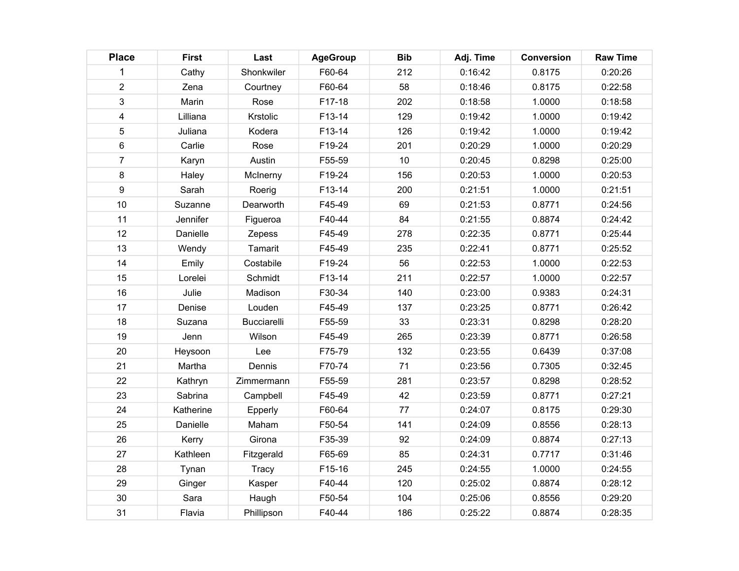| <b>Place</b>            | <b>First</b> | Last               | <b>AgeGroup</b> | <b>Bib</b> | Adj. Time | <b>Conversion</b> | <b>Raw Time</b> |
|-------------------------|--------------|--------------------|-----------------|------------|-----------|-------------------|-----------------|
| 1                       | Cathy        | Shonkwiler         | F60-64          | 212        | 0:16:42   | 0.8175            | 0:20:26         |
| $\overline{2}$          | Zena         | Courtney           | F60-64          | 58         | 0:18:46   | 0.8175            | 0:22:58         |
| 3                       | Marin        | Rose               | F17-18          | 202        | 0:18:58   | 1.0000            | 0:18:58         |
| $\overline{\mathbf{4}}$ | Lilliana     | Krstolic           | F13-14          | 129        | 0:19:42   | 1.0000            | 0:19:42         |
| 5                       | Juliana      | Kodera             | F13-14          | 126        | 0:19:42   | 1.0000            | 0:19:42         |
| 6                       | Carlie       | Rose               | F19-24          | 201        | 0:20:29   | 1.0000            | 0:20:29         |
| $\overline{7}$          | Karyn        | Austin             | F55-59          | 10         | 0:20:45   | 0.8298            | 0:25:00         |
| 8                       | Haley        | McInerny           | F19-24          | 156        | 0:20:53   | 1.0000            | 0:20:53         |
| 9                       | Sarah        | Roerig             | F13-14          | 200        | 0:21:51   | 1.0000            | 0:21:51         |
| 10                      | Suzanne      | Dearworth          | F45-49          | 69         | 0:21:53   | 0.8771            | 0:24:56         |
| 11                      | Jennifer     | Figueroa           | F40-44          | 84         | 0:21:55   | 0.8874            | 0:24:42         |
| 12                      | Danielle     | Zepess             | F45-49          | 278        | 0:22:35   | 0.8771            | 0:25:44         |
| 13                      | Wendy        | Tamarit            | F45-49          | 235        | 0:22:41   | 0.8771            | 0:25:52         |
| 14                      | Emily        | Costabile          | F19-24          | 56         | 0:22:53   | 1.0000            | 0:22:53         |
| 15                      | Lorelei      | Schmidt            | F13-14          | 211        | 0:22:57   | 1.0000            | 0:22:57         |
| 16                      | Julie        | Madison            | F30-34          | 140        | 0:23:00   | 0.9383            | 0:24:31         |
| 17                      | Denise       | Louden             | F45-49          | 137        | 0:23:25   | 0.8771            | 0:26:42         |
| 18                      | Suzana       | <b>Bucciarelli</b> | F55-59          | 33         | 0:23:31   | 0.8298            | 0:28:20         |
| 19                      | Jenn         | Wilson             | F45-49          | 265        | 0:23:39   | 0.8771            | 0:26:58         |
| 20                      | Heysoon      | Lee                | F75-79          | 132        | 0:23:55   | 0.6439            | 0:37:08         |
| 21                      | Martha       | Dennis             | F70-74          | 71         | 0:23:56   | 0.7305            | 0:32:45         |
| 22                      | Kathryn      | Zimmermann         | F55-59          | 281        | 0:23:57   | 0.8298            | 0:28:52         |
| 23                      | Sabrina      | Campbell           | F45-49          | 42         | 0:23:59   | 0.8771            | 0:27:21         |
| 24                      | Katherine    | Epperly            | F60-64          | 77         | 0:24:07   | 0.8175            | 0:29:30         |
| 25                      | Danielle     | Maham              | F50-54          | 141        | 0:24:09   | 0.8556            | 0:28:13         |
| 26                      | Kerry        | Girona             | F35-39          | 92         | 0:24:09   | 0.8874            | 0:27:13         |
| 27                      | Kathleen     | Fitzgerald         | F65-69          | 85         | 0:24:31   | 0.7717            | 0:31:46         |
| 28                      | Tynan        | Tracy              | F15-16          | 245        | 0:24:55   | 1.0000            | 0:24:55         |
| 29                      | Ginger       | Kasper             | F40-44          | 120        | 0:25:02   | 0.8874            | 0:28:12         |
| 30                      | Sara         | Haugh              | F50-54          | 104        | 0:25:06   | 0.8556            | 0:29:20         |
| 31                      | Flavia       | Phillipson         | F40-44          | 186        | 0:25:22   | 0.8874            | 0:28:35         |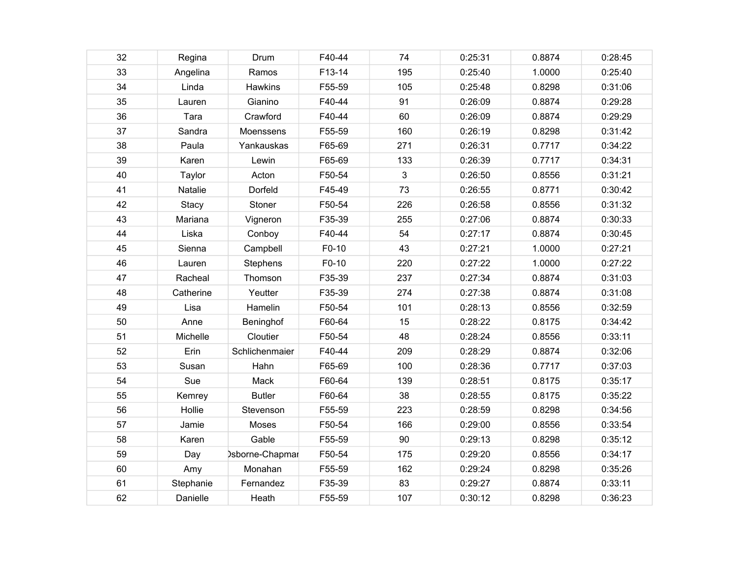| 32 | Regina       | Drum            | F40-44 | 74  | 0:25:31 | 0.8874 | 0:28:45 |
|----|--------------|-----------------|--------|-----|---------|--------|---------|
| 33 | Angelina     | Ramos           | F13-14 | 195 | 0:25:40 | 1.0000 | 0:25:40 |
| 34 | Linda        | Hawkins         | F55-59 | 105 | 0:25:48 | 0.8298 | 0:31:06 |
| 35 | Lauren       | Gianino         | F40-44 | 91  | 0:26:09 | 0.8874 | 0:29:28 |
| 36 | Tara         | Crawford        | F40-44 | 60  | 0:26:09 | 0.8874 | 0:29:29 |
| 37 | Sandra       | Moenssens       | F55-59 | 160 | 0:26:19 | 0.8298 | 0:31:42 |
| 38 | Paula        | Yankauskas      | F65-69 | 271 | 0:26:31 | 0.7717 | 0:34:22 |
| 39 | Karen        | Lewin           | F65-69 | 133 | 0:26:39 | 0.7717 | 0:34:31 |
| 40 | Taylor       | Acton           | F50-54 | 3   | 0:26:50 | 0.8556 | 0:31:21 |
| 41 | Natalie      | Dorfeld         | F45-49 | 73  | 0:26:55 | 0.8771 | 0:30:42 |
| 42 | <b>Stacy</b> | Stoner          | F50-54 | 226 | 0:26:58 | 0.8556 | 0:31:32 |
| 43 | Mariana      | Vigneron        | F35-39 | 255 | 0:27:06 | 0.8874 | 0:30:33 |
| 44 | Liska        | Conboy          | F40-44 | 54  | 0:27:17 | 0.8874 | 0:30:45 |
| 45 | Sienna       | Campbell        | F0-10  | 43  | 0:27:21 | 1.0000 | 0:27:21 |
| 46 | Lauren       | Stephens        | F0-10  | 220 | 0:27:22 | 1.0000 | 0:27:22 |
| 47 | Racheal      | Thomson         | F35-39 | 237 | 0:27:34 | 0.8874 | 0:31:03 |
| 48 | Catherine    | Yeutter         | F35-39 | 274 | 0:27:38 | 0.8874 | 0:31:08 |
| 49 | Lisa         | Hamelin         | F50-54 | 101 | 0:28:13 | 0.8556 | 0:32:59 |
| 50 | Anne         | Beninghof       | F60-64 | 15  | 0:28:22 | 0.8175 | 0:34:42 |
| 51 | Michelle     | Cloutier        | F50-54 | 48  | 0:28:24 | 0.8556 | 0:33:11 |
| 52 | Erin         | Schlichenmaier  | F40-44 | 209 | 0:28:29 | 0.8874 | 0:32:06 |
| 53 | Susan        | Hahn            | F65-69 | 100 | 0:28:36 | 0.7717 | 0:37:03 |
| 54 | Sue          | Mack            | F60-64 | 139 | 0:28:51 | 0.8175 | 0:35:17 |
| 55 | Kemrey       | <b>Butler</b>   | F60-64 | 38  | 0:28:55 | 0.8175 | 0:35:22 |
| 56 | Hollie       | Stevenson       | F55-59 | 223 | 0:28:59 | 0.8298 | 0:34:56 |
| 57 | Jamie        | Moses           | F50-54 | 166 | 0:29:00 | 0.8556 | 0:33:54 |
| 58 | Karen        | Gable           | F55-59 | 90  | 0:29:13 | 0.8298 | 0:35:12 |
| 59 | Day          | bsborne-Chapmar | F50-54 | 175 | 0:29:20 | 0.8556 | 0:34:17 |
| 60 | Amy          | Monahan         | F55-59 | 162 | 0:29:24 | 0.8298 | 0:35:26 |
| 61 | Stephanie    | Fernandez       | F35-39 | 83  | 0:29:27 | 0.8874 | 0:33:11 |
| 62 | Danielle     | Heath           | F55-59 | 107 | 0:30:12 | 0.8298 | 0:36:23 |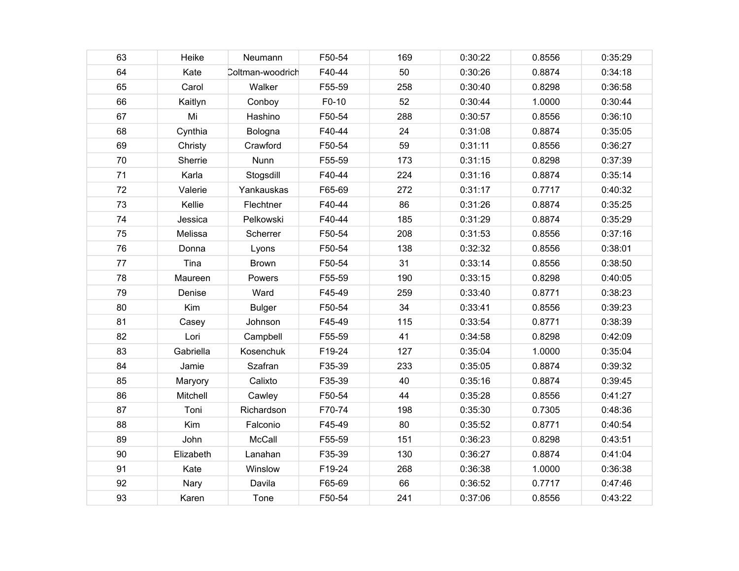| 63 | Heike     | Neumann          | F50-54 | 169 | 0:30:22 | 0.8556 | 0:35:29 |
|----|-----------|------------------|--------|-----|---------|--------|---------|
| 64 | Kate      | Coltman-woodrich | F40-44 | 50  | 0:30:26 | 0.8874 | 0:34:18 |
| 65 | Carol     | Walker           | F55-59 | 258 | 0:30:40 | 0.8298 | 0:36:58 |
| 66 | Kaitlyn   | Conboy           | F0-10  | 52  | 0:30:44 | 1.0000 | 0:30:44 |
| 67 | Mi        | Hashino          | F50-54 | 288 | 0:30:57 | 0.8556 | 0:36:10 |
| 68 | Cynthia   | Bologna          | F40-44 | 24  | 0:31:08 | 0.8874 | 0:35:05 |
| 69 | Christy   | Crawford         | F50-54 | 59  | 0:31:11 | 0.8556 | 0:36:27 |
| 70 | Sherrie   | Nunn             | F55-59 | 173 | 0:31:15 | 0.8298 | 0:37:39 |
| 71 | Karla     | Stogsdill        | F40-44 | 224 | 0:31:16 | 0.8874 | 0:35:14 |
| 72 | Valerie   | Yankauskas       | F65-69 | 272 | 0:31:17 | 0.7717 | 0:40:32 |
| 73 | Kellie    | Flechtner        | F40-44 | 86  | 0:31:26 | 0.8874 | 0:35:25 |
| 74 | Jessica   | Pelkowski        | F40-44 | 185 | 0:31:29 | 0.8874 | 0:35:29 |
| 75 | Melissa   | Scherrer         | F50-54 | 208 | 0:31:53 | 0.8556 | 0:37:16 |
| 76 | Donna     | Lyons            | F50-54 | 138 | 0:32:32 | 0.8556 | 0:38:01 |
| 77 | Tina      | <b>Brown</b>     | F50-54 | 31  | 0:33:14 | 0.8556 | 0:38:50 |
| 78 | Maureen   | Powers           | F55-59 | 190 | 0:33:15 | 0.8298 | 0:40:05 |
| 79 | Denise    | Ward             | F45-49 | 259 | 0:33:40 | 0.8771 | 0:38:23 |
| 80 | Kim       | <b>Bulger</b>    | F50-54 | 34  | 0:33:41 | 0.8556 | 0:39:23 |
| 81 | Casey     | Johnson          | F45-49 | 115 | 0:33:54 | 0.8771 | 0:38:39 |
| 82 | Lori      | Campbell         | F55-59 | 41  | 0:34:58 | 0.8298 | 0:42:09 |
| 83 | Gabriella | Kosenchuk        | F19-24 | 127 | 0:35:04 | 1.0000 | 0:35:04 |
| 84 | Jamie     | Szafran          | F35-39 | 233 | 0:35:05 | 0.8874 | 0:39:32 |
| 85 | Maryory   | Calixto          | F35-39 | 40  | 0:35:16 | 0.8874 | 0:39:45 |
| 86 | Mitchell  | Cawley           | F50-54 | 44  | 0:35:28 | 0.8556 | 0:41:27 |
| 87 | Toni      | Richardson       | F70-74 | 198 | 0:35:30 | 0.7305 | 0:48:36 |
| 88 | Kim       | Falconio         | F45-49 | 80  | 0:35:52 | 0.8771 | 0:40:54 |
| 89 | John      | McCall           | F55-59 | 151 | 0:36:23 | 0.8298 | 0:43:51 |
| 90 | Elizabeth | Lanahan          | F35-39 | 130 | 0:36:27 | 0.8874 | 0:41:04 |
| 91 | Kate      | Winslow          | F19-24 | 268 | 0:36:38 | 1.0000 | 0:36:38 |
| 92 | Nary      | Davila           | F65-69 | 66  | 0:36:52 | 0.7717 | 0:47:46 |
| 93 | Karen     | Tone             | F50-54 | 241 | 0:37:06 | 0.8556 | 0:43:22 |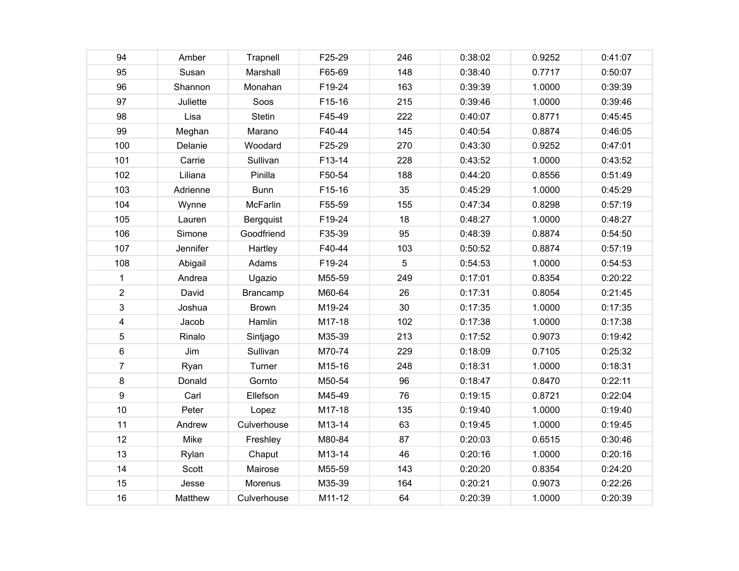| 94             | Amber    | Trapnell      | F25-29 | 246 | 0:38:02 | 0.9252 | 0:41:07 |
|----------------|----------|---------------|--------|-----|---------|--------|---------|
| 95             | Susan    | Marshall      | F65-69 | 148 | 0:38:40 | 0.7717 | 0:50:07 |
| 96             | Shannon  | Monahan       | F19-24 | 163 | 0:39:39 | 1.0000 | 0:39:39 |
| 97             | Juliette | Soos          | F15-16 | 215 | 0:39:46 | 1.0000 | 0:39:46 |
| 98             | Lisa     | <b>Stetin</b> | F45-49 | 222 | 0:40:07 | 0.8771 | 0:45:45 |
| 99             | Meghan   | Marano        | F40-44 | 145 | 0:40:54 | 0.8874 | 0:46:05 |
| 100            | Delanie  | Woodard       | F25-29 | 270 | 0:43:30 | 0.9252 | 0:47:01 |
| 101            | Carrie   | Sullivan      | F13-14 | 228 | 0:43:52 | 1.0000 | 0:43:52 |
| 102            | Liliana  | Pinilla       | F50-54 | 188 | 0:44:20 | 0.8556 | 0:51:49 |
| 103            | Adrienne | <b>Bunn</b>   | F15-16 | 35  | 0:45:29 | 1.0000 | 0:45:29 |
| 104            | Wynne    | McFarlin      | F55-59 | 155 | 0:47:34 | 0.8298 | 0:57:19 |
| 105            | Lauren   | Bergquist     | F19-24 | 18  | 0:48:27 | 1.0000 | 0:48:27 |
| 106            | Simone   | Goodfriend    | F35-39 | 95  | 0:48:39 | 0.8874 | 0:54:50 |
| 107            | Jennifer | Hartley       | F40-44 | 103 | 0:50:52 | 0.8874 | 0:57:19 |
| 108            | Abigail  | Adams         | F19-24 | 5   | 0:54:53 | 1.0000 | 0:54:53 |
| $\mathbf 1$    | Andrea   | Ugazio        | M55-59 | 249 | 0:17:01 | 0.8354 | 0:20:22 |
| $\overline{2}$ | David    | Brancamp      | M60-64 | 26  | 0:17:31 | 0.8054 | 0:21:45 |
| 3              | Joshua   | <b>Brown</b>  | M19-24 | 30  | 0:17:35 | 1.0000 | 0:17:35 |
| 4              | Jacob    | Hamlin        | M17-18 | 102 | 0:17:38 | 1.0000 | 0:17:38 |
| 5              | Rinalo   | Sintjago      | M35-39 | 213 | 0:17:52 | 0.9073 | 0:19:42 |
| 6              | Jim      | Sullivan      | M70-74 | 229 | 0:18:09 | 0.7105 | 0:25:32 |
| $\overline{7}$ | Ryan     | Turner        | M15-16 | 248 | 0:18:31 | 1.0000 | 0:18:31 |
| 8              | Donald   | Gornto        | M50-54 | 96  | 0:18:47 | 0.8470 | 0:22:11 |
| 9              | Carl     | Ellefson      | M45-49 | 76  | 0:19:15 | 0.8721 | 0:22:04 |
| 10             | Peter    | Lopez         | M17-18 | 135 | 0:19:40 | 1.0000 | 0:19:40 |
| 11             | Andrew   | Culverhouse   | M13-14 | 63  | 0:19:45 | 1.0000 | 0:19:45 |
| 12             | Mike     | Freshley      | M80-84 | 87  | 0:20:03 | 0.6515 | 0:30:46 |
| 13             | Rylan    | Chaput        | M13-14 | 46  | 0:20:16 | 1.0000 | 0:20:16 |
| 14             | Scott    | Mairose       | M55-59 | 143 | 0:20:20 | 0.8354 | 0:24:20 |
| 15             | Jesse    | Morenus       | M35-39 | 164 | 0:20:21 | 0.9073 | 0:22:26 |
| 16             | Matthew  | Culverhouse   | M11-12 | 64  | 0:20:39 | 1.0000 | 0:20:39 |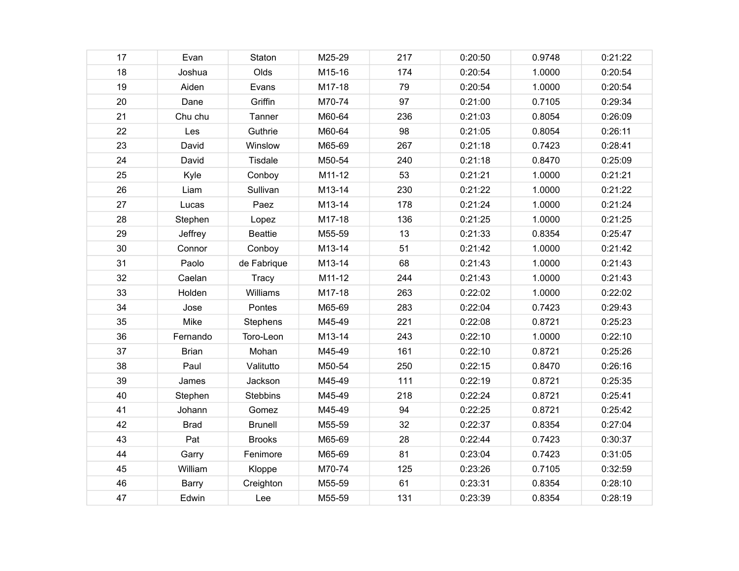| 17 | Evan         | Staton          | M25-29 | 217 | 0:20:50 | 0.9748 | 0:21:22 |
|----|--------------|-----------------|--------|-----|---------|--------|---------|
| 18 | Joshua       | Olds            | M15-16 | 174 | 0:20:54 | 1.0000 | 0:20:54 |
| 19 | Aiden        | Evans           | M17-18 | 79  | 0:20:54 | 1.0000 | 0:20:54 |
| 20 | Dane         | Griffin         | M70-74 | 97  | 0:21:00 | 0.7105 | 0:29:34 |
| 21 | Chu chu      | Tanner          | M60-64 | 236 | 0:21:03 | 0.8054 | 0:26:09 |
| 22 | Les          | Guthrie         | M60-64 | 98  | 0:21:05 | 0.8054 | 0:26:11 |
| 23 | David        | Winslow         | M65-69 | 267 | 0:21:18 | 0.7423 | 0:28:41 |
| 24 | David        | Tisdale         | M50-54 | 240 | 0:21:18 | 0.8470 | 0:25:09 |
| 25 | Kyle         | Conboy          | M11-12 | 53  | 0:21:21 | 1.0000 | 0:21:21 |
| 26 | Liam         | Sullivan        | M13-14 | 230 | 0:21:22 | 1.0000 | 0:21:22 |
| 27 | Lucas        | Paez            | M13-14 | 178 | 0:21:24 | 1.0000 | 0:21:24 |
| 28 | Stephen      | Lopez           | M17-18 | 136 | 0:21:25 | 1.0000 | 0:21:25 |
| 29 | Jeffrey      | <b>Beattie</b>  | M55-59 | 13  | 0:21:33 | 0.8354 | 0:25:47 |
| 30 | Connor       | Conboy          | M13-14 | 51  | 0:21:42 | 1.0000 | 0:21:42 |
| 31 | Paolo        | de Fabrique     | M13-14 | 68  | 0:21:43 | 1.0000 | 0:21:43 |
| 32 | Caelan       | <b>Tracy</b>    | M11-12 | 244 | 0:21:43 | 1.0000 | 0:21:43 |
| 33 | Holden       | Williams        | M17-18 | 263 | 0:22:02 | 1.0000 | 0:22:02 |
| 34 | Jose         | Pontes          | M65-69 | 283 | 0:22:04 | 0.7423 | 0:29:43 |
| 35 | Mike         | Stephens        | M45-49 | 221 | 0:22:08 | 0.8721 | 0:25:23 |
| 36 | Fernando     | Toro-Leon       | M13-14 | 243 | 0:22:10 | 1.0000 | 0:22:10 |
| 37 | <b>Brian</b> | Mohan           | M45-49 | 161 | 0:22:10 | 0.8721 | 0:25:26 |
| 38 | Paul         | Valitutto       | M50-54 | 250 | 0:22:15 | 0.8470 | 0:26:16 |
| 39 | James        | Jackson         | M45-49 | 111 | 0:22:19 | 0.8721 | 0:25:35 |
| 40 | Stephen      | <b>Stebbins</b> | M45-49 | 218 | 0:22:24 | 0.8721 | 0:25:41 |
| 41 | Johann       | Gomez           | M45-49 | 94  | 0:22:25 | 0.8721 | 0:25:42 |
| 42 | <b>Brad</b>  | <b>Brunell</b>  | M55-59 | 32  | 0:22:37 | 0.8354 | 0:27:04 |
| 43 | Pat          | <b>Brooks</b>   | M65-69 | 28  | 0:22:44 | 0.7423 | 0:30:37 |
| 44 | Garry        | Fenimore        | M65-69 | 81  | 0:23:04 | 0.7423 | 0:31:05 |
| 45 | William      | Kloppe          | M70-74 | 125 | 0:23:26 | 0.7105 | 0:32:59 |
| 46 | Barry        | Creighton       | M55-59 | 61  | 0:23:31 | 0.8354 | 0:28:10 |
| 47 | Edwin        | Lee             | M55-59 | 131 | 0:23:39 | 0.8354 | 0:28:19 |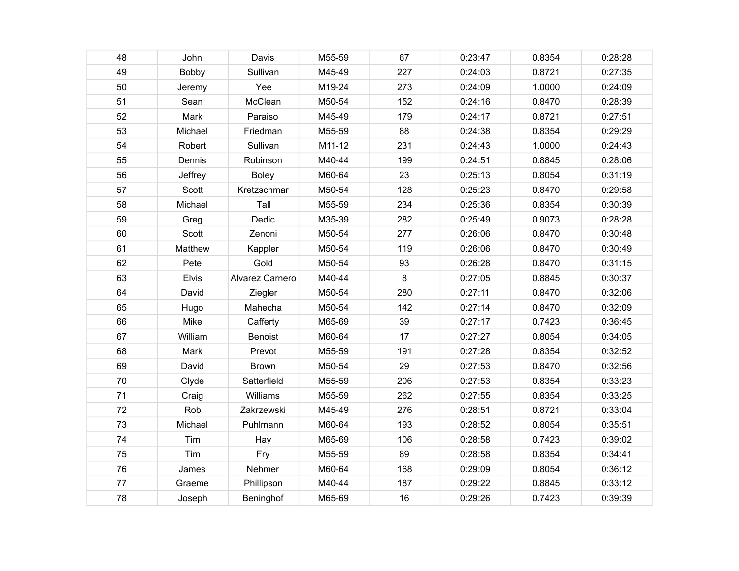| 48 | John         | Davis           | M55-59 | 67  | 0:23:47 | 0.8354 | 0:28:28 |
|----|--------------|-----------------|--------|-----|---------|--------|---------|
| 49 | Bobby        | Sullivan        | M45-49 | 227 | 0:24:03 | 0.8721 | 0:27:35 |
| 50 | Jeremy       | Yee             | M19-24 | 273 | 0:24:09 | 1.0000 | 0:24:09 |
| 51 | Sean         | McClean         | M50-54 | 152 | 0:24:16 | 0.8470 | 0:28:39 |
| 52 | Mark         | Paraiso         | M45-49 | 179 | 0:24:17 | 0.8721 | 0:27:51 |
| 53 | Michael      | Friedman        | M55-59 | 88  | 0:24:38 | 0.8354 | 0:29:29 |
| 54 | Robert       | Sullivan        | M11-12 | 231 | 0:24:43 | 1.0000 | 0:24:43 |
| 55 | Dennis       | Robinson        | M40-44 | 199 | 0:24:51 | 0.8845 | 0:28:06 |
| 56 | Jeffrey      | <b>Boley</b>    | M60-64 | 23  | 0:25:13 | 0.8054 | 0:31:19 |
| 57 | Scott        | Kretzschmar     | M50-54 | 128 | 0:25:23 | 0.8470 | 0:29:58 |
| 58 | Michael      | Tall            | M55-59 | 234 | 0:25:36 | 0.8354 | 0:30:39 |
| 59 | Greg         | Dedic           | M35-39 | 282 | 0:25:49 | 0.9073 | 0:28:28 |
| 60 | Scott        | Zenoni          | M50-54 | 277 | 0:26:06 | 0.8470 | 0:30:48 |
| 61 | Matthew      | Kappler         | M50-54 | 119 | 0:26:06 | 0.8470 | 0:30:49 |
| 62 | Pete         | Gold            | M50-54 | 93  | 0:26:28 | 0.8470 | 0:31:15 |
| 63 | <b>Elvis</b> | Alvarez Carnero | M40-44 | 8   | 0:27:05 | 0.8845 | 0:30:37 |
| 64 | David        | Ziegler         | M50-54 | 280 | 0:27:11 | 0.8470 | 0:32:06 |
| 65 | Hugo         | Mahecha         | M50-54 | 142 | 0:27:14 | 0.8470 | 0:32:09 |
| 66 | Mike         | Cafferty        | M65-69 | 39  | 0:27:17 | 0.7423 | 0:36:45 |
| 67 | William      | <b>Benoist</b>  | M60-64 | 17  | 0:27:27 | 0.8054 | 0:34:05 |
| 68 | Mark         | Prevot          | M55-59 | 191 | 0:27:28 | 0.8354 | 0:32:52 |
| 69 | David        | <b>Brown</b>    | M50-54 | 29  | 0:27:53 | 0.8470 | 0:32:56 |
| 70 | Clyde        | Satterfield     | M55-59 | 206 | 0:27:53 | 0.8354 | 0:33:23 |
| 71 | Craig        | Williams        | M55-59 | 262 | 0:27:55 | 0.8354 | 0:33:25 |
| 72 | Rob          | Zakrzewski      | M45-49 | 276 | 0:28:51 | 0.8721 | 0:33:04 |
| 73 | Michael      | Puhlmann        | M60-64 | 193 | 0:28:52 | 0.8054 | 0:35:51 |
| 74 | Tim          | Hay             | M65-69 | 106 | 0:28:58 | 0.7423 | 0:39:02 |
| 75 | Tim          | Fry             | M55-59 | 89  | 0:28:58 | 0.8354 | 0:34:41 |
| 76 | James        | Nehmer          | M60-64 | 168 | 0:29:09 | 0.8054 | 0:36:12 |
| 77 | Graeme       | Phillipson      | M40-44 | 187 | 0:29:22 | 0.8845 | 0:33:12 |
| 78 | Joseph       | Beninghof       | M65-69 | 16  | 0:29:26 | 0.7423 | 0:39:39 |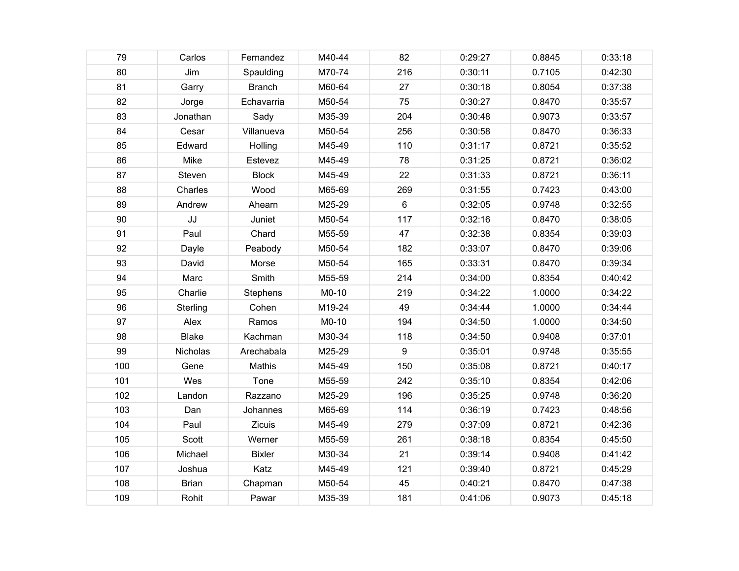| 79  | Carlos       | Fernandez     | M40-44 | 82  | 0:29:27 | 0.8845 | 0:33:18 |
|-----|--------------|---------------|--------|-----|---------|--------|---------|
| 80  | Jim          | Spaulding     | M70-74 | 216 | 0:30:11 | 0.7105 | 0:42:30 |
| 81  | Garry        | <b>Branch</b> | M60-64 | 27  | 0:30:18 | 0.8054 | 0:37:38 |
| 82  | Jorge        | Echavarria    | M50-54 | 75  | 0:30:27 | 0.8470 | 0:35:57 |
| 83  | Jonathan     | Sady          | M35-39 | 204 | 0:30:48 | 0.9073 | 0:33:57 |
| 84  | Cesar        | Villanueva    | M50-54 | 256 | 0:30:58 | 0.8470 | 0:36:33 |
| 85  | Edward       | Holling       | M45-49 | 110 | 0:31:17 | 0.8721 | 0:35:52 |
| 86  | Mike         | Estevez       | M45-49 | 78  | 0:31:25 | 0.8721 | 0:36:02 |
| 87  | Steven       | <b>Block</b>  | M45-49 | 22  | 0:31:33 | 0.8721 | 0:36:11 |
| 88  | Charles      | Wood          | M65-69 | 269 | 0:31:55 | 0.7423 | 0:43:00 |
| 89  | Andrew       | Ahearn        | M25-29 | 6   | 0:32:05 | 0.9748 | 0:32:55 |
| 90  | JJ           | Juniet        | M50-54 | 117 | 0:32:16 | 0.8470 | 0:38:05 |
| 91  | Paul         | Chard         | M55-59 | 47  | 0:32:38 | 0.8354 | 0:39:03 |
| 92  | Dayle        | Peabody       | M50-54 | 182 | 0:33:07 | 0.8470 | 0:39:06 |
| 93  | David        | Morse         | M50-54 | 165 | 0:33:31 | 0.8470 | 0:39:34 |
| 94  | Marc         | Smith         | M55-59 | 214 | 0:34:00 | 0.8354 | 0:40:42 |
| 95  | Charlie      | Stephens      | M0-10  | 219 | 0:34:22 | 1.0000 | 0:34:22 |
| 96  | Sterling     | Cohen         | M19-24 | 49  | 0:34:44 | 1.0000 | 0:34:44 |
| 97  | Alex         | Ramos         | M0-10  | 194 | 0:34:50 | 1.0000 | 0:34:50 |
| 98  | <b>Blake</b> | Kachman       | M30-34 | 118 | 0:34:50 | 0.9408 | 0:37:01 |
| 99  | Nicholas     | Arechabala    | M25-29 | 9   | 0:35:01 | 0.9748 | 0:35:55 |
| 100 | Gene         | Mathis        | M45-49 | 150 | 0:35:08 | 0.8721 | 0:40:17 |
| 101 | Wes          | Tone          | M55-59 | 242 | 0:35:10 | 0.8354 | 0:42:06 |
| 102 | Landon       | Razzano       | M25-29 | 196 | 0:35:25 | 0.9748 | 0:36:20 |
| 103 | Dan          | Johannes      | M65-69 | 114 | 0:36:19 | 0.7423 | 0:48:56 |
| 104 | Paul         | Zicuis        | M45-49 | 279 | 0:37:09 | 0.8721 | 0:42:36 |
| 105 | Scott        | Werner        | M55-59 | 261 | 0:38:18 | 0.8354 | 0:45:50 |
| 106 | Michael      | <b>Bixler</b> | M30-34 | 21  | 0:39:14 | 0.9408 | 0:41:42 |
| 107 | Joshua       | Katz          | M45-49 | 121 | 0:39:40 | 0.8721 | 0:45:29 |
| 108 | <b>Brian</b> | Chapman       | M50-54 | 45  | 0:40:21 | 0.8470 | 0:47:38 |
| 109 | Rohit        | Pawar         | M35-39 | 181 | 0:41:06 | 0.9073 | 0:45:18 |